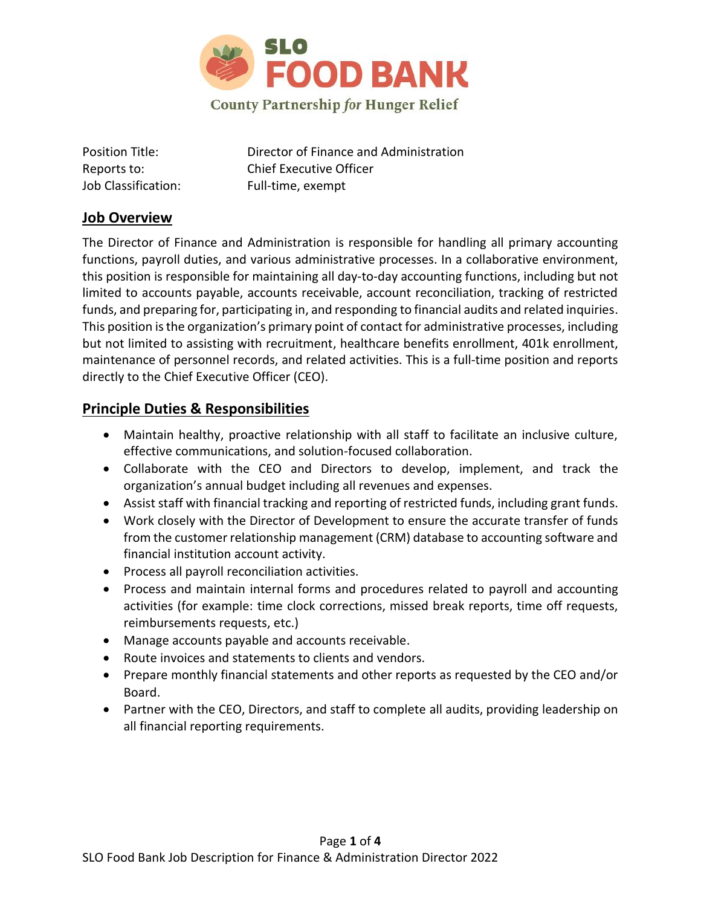

Job Classification: Full-time, exempt

Position Title: Director of Finance and Administration Reports to: Chief Executive Officer

#### **Job Overview**

The Director of Finance and Administration is responsible for handling all primary accounting functions, payroll duties, and various administrative processes. In a collaborative environment, this position is responsible for maintaining all day-to-day accounting functions, including but not limited to accounts payable, accounts receivable, account reconciliation, tracking of restricted funds, and preparing for, participating in, and responding to financial audits and related inquiries. This position is the organization's primary point of contact for administrative processes, including but not limited to assisting with recruitment, healthcare benefits enrollment, 401k enrollment, maintenance of personnel records, and related activities. This is a full-time position and reports directly to the Chief Executive Officer (CEO).

### **Principle Duties & Responsibilities**

- Maintain healthy, proactive relationship with all staff to facilitate an inclusive culture, effective communications, and solution-focused collaboration.
- Collaborate with the CEO and Directors to develop, implement, and track the organization's annual budget including all revenues and expenses.
- Assist staff with financial tracking and reporting of restricted funds, including grant funds.
- Work closely with the Director of Development to ensure the accurate transfer of funds from the customer relationship management (CRM) database to accounting software and financial institution account activity.
- Process all payroll reconciliation activities.
- Process and maintain internal forms and procedures related to payroll and accounting activities (for example: time clock corrections, missed break reports, time off requests, reimbursements requests, etc.)
- Manage accounts payable and accounts receivable.
- Route invoices and statements to clients and vendors.
- Prepare monthly financial statements and other reports as requested by the CEO and/or Board.
- Partner with the CEO, Directors, and staff to complete all audits, providing leadership on all financial reporting requirements.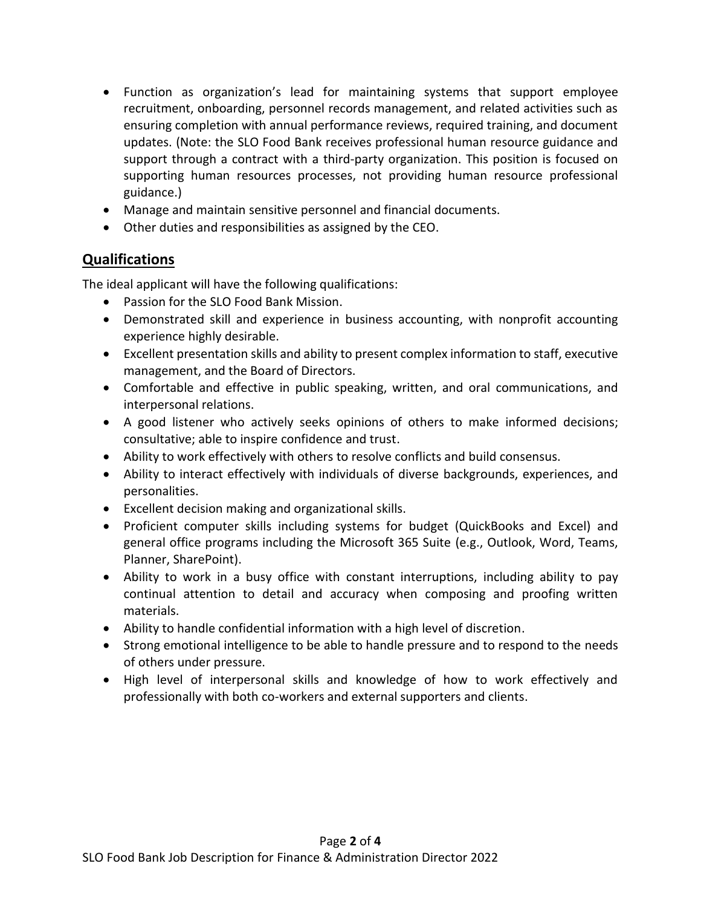- Function as organization's lead for maintaining systems that support employee recruitment, onboarding, personnel records management, and related activities such as ensuring completion with annual performance reviews, required training, and document updates. (Note: the SLO Food Bank receives professional human resource guidance and support through a contract with a third-party organization. This position is focused on supporting human resources processes, not providing human resource professional guidance.)
- Manage and maintain sensitive personnel and financial documents.
- Other duties and responsibilities as assigned by the CEO.

## **Qualifications**

The ideal applicant will have the following qualifications:

- Passion for the SLO Food Bank Mission.
- Demonstrated skill and experience in business accounting, with nonprofit accounting experience highly desirable.
- Excellent presentation skills and ability to present complex information to staff, executive management, and the Board of Directors.
- Comfortable and effective in public speaking, written, and oral communications, and interpersonal relations.
- A good listener who actively seeks opinions of others to make informed decisions; consultative; able to inspire confidence and trust.
- Ability to work effectively with others to resolve conflicts and build consensus.
- Ability to interact effectively with individuals of diverse backgrounds, experiences, and personalities.
- Excellent decision making and organizational skills.
- Proficient computer skills including systems for budget (QuickBooks and Excel) and general office programs including the Microsoft 365 Suite (e.g., Outlook, Word, Teams, Planner, SharePoint).
- Ability to work in a busy office with constant interruptions, including ability to pay continual attention to detail and accuracy when composing and proofing written materials.
- Ability to handle confidential information with a high level of discretion.
- Strong emotional intelligence to be able to handle pressure and to respond to the needs of others under pressure.
- High level of interpersonal skills and knowledge of how to work effectively and professionally with both co-workers and external supporters and clients.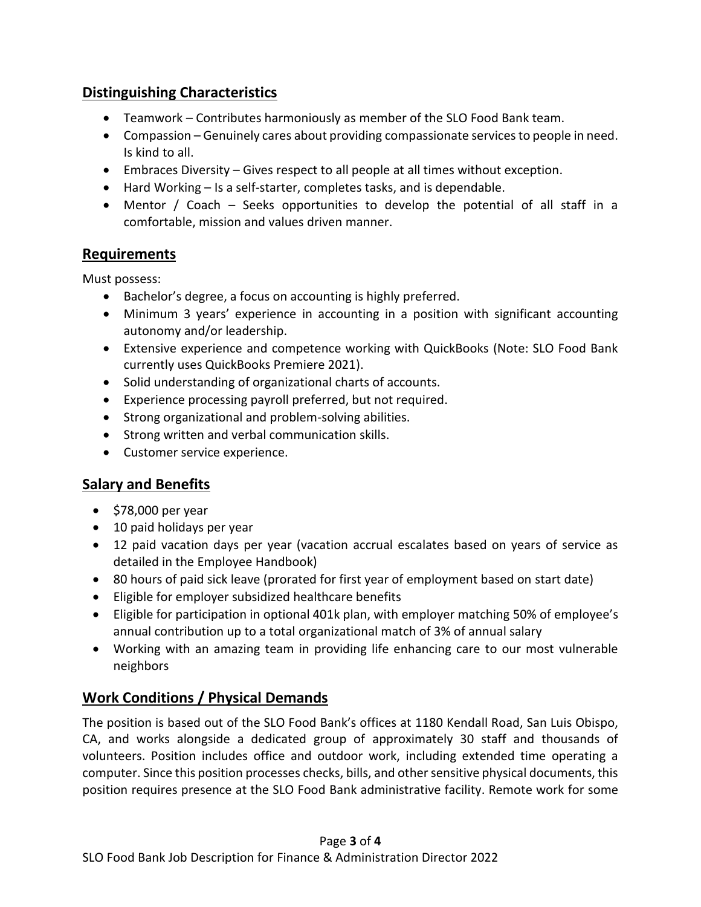## **Distinguishing Characteristics**

- Teamwork Contributes harmoniously as member of the SLO Food Bank team.
- Compassion Genuinely cares about providing compassionate services to people in need. Is kind to all.
- Embraces Diversity Gives respect to all people at all times without exception.
- Hard Working Is a self-starter, completes tasks, and is dependable.
- Mentor / Coach Seeks opportunities to develop the potential of all staff in a comfortable, mission and values driven manner.

#### **Requirements**

Must possess:

- Bachelor's degree, a focus on accounting is highly preferred.
- Minimum 3 years' experience in accounting in a position with significant accounting autonomy and/or leadership.
- Extensive experience and competence working with QuickBooks (Note: SLO Food Bank currently uses QuickBooks Premiere 2021).
- Solid understanding of organizational charts of accounts.
- Experience processing payroll preferred, but not required.
- Strong organizational and problem-solving abilities.
- Strong written and verbal communication skills.
- Customer service experience.

# **Salary and Benefits**

- \$78,000 per year
- 10 paid holidays per year
- 12 paid vacation days per year (vacation accrual escalates based on years of service as detailed in the Employee Handbook)
- 80 hours of paid sick leave (prorated for first year of employment based on start date)
- Eligible for employer subsidized healthcare benefits
- Eligible for participation in optional 401k plan, with employer matching 50% of employee's annual contribution up to a total organizational match of 3% of annual salary
- Working with an amazing team in providing life enhancing care to our most vulnerable neighbors

# **Work Conditions / Physical Demands**

The position is based out of the SLO Food Bank's offices at 1180 Kendall Road, San Luis Obispo, CA, and works alongside a dedicated group of approximately 30 staff and thousands of volunteers. Position includes office and outdoor work, including extended time operating a computer. Since this position processes checks, bills, and other sensitive physical documents, this position requires presence at the SLO Food Bank administrative facility. Remote work for some